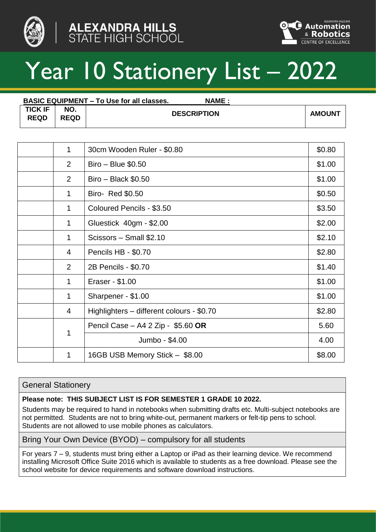



# Year 10 Stationery List – 2022

| <b>BASIC EQUIPMENT – To Use for all classes.</b><br><b>NAME :</b> |                    |                    |               |
|-------------------------------------------------------------------|--------------------|--------------------|---------------|
| <b>TICK IF</b><br><b>REQD</b>                                     | NO.<br><b>REQD</b> | <b>DESCRIPTION</b> | <b>AMOUNT</b> |

| 1              | 30cm Wooden Ruler - \$0.80                | \$0.80 |
|----------------|-------------------------------------------|--------|
| $\overline{2}$ | Biro - Blue \$0.50                        | \$1.00 |
| $\overline{2}$ | $Biro - Black $0.50$                      | \$1.00 |
| 1              | Biro- Red \$0.50                          | \$0.50 |
| 1              | Coloured Pencils - \$3.50                 | \$3.50 |
| 1              | Gluestick 40gm - \$2.00                   | \$2.00 |
| 1              | Scissors - Small \$2.10                   | \$2.10 |
| $\overline{4}$ | Pencils HB - \$0.70                       | \$2.80 |
| 2              | 2B Pencils - \$0.70                       | \$1.40 |
| 1              | Eraser - \$1.00                           | \$1.00 |
| 1              | Sharpener - \$1.00                        | \$1.00 |
| 4              | Highlighters - different colours - \$0.70 | \$2.80 |
|                | Pencil Case - A4 2 Zip - \$5.60 OR        | 5.60   |
| 1              | Jumbo - \$4.00                            | 4.00   |
| 1              | 16GB USB Memory Stick - \$8.00            | \$8.00 |

## General Stationery

#### **Please note: THIS SUBJECT LIST IS FOR SEMESTER 1 GRADE 10 2022.**

Students may be required to hand in notebooks when submitting drafts etc. Multi-subject notebooks are not permitted. Students are not to bring white-out, permanent markers or felt-tip pens to school. Students are not allowed to use mobile phones as calculators.

#### Bring Your Own Device (BYOD) – compulsory for all students

For years 7 – 9, students must bring either a Laptop or iPad as their learning device. We recommend installing Microsoft Office Suite 2016 which is available to students as a free download. Please see the school website for device requirements and software download instructions.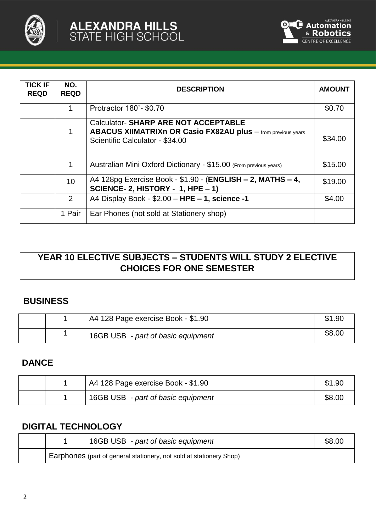

| <b>TICK IF</b><br><b>REQD</b> | NO.<br><b>REQD</b> | <b>DESCRIPTION</b>                                                                                                                                   | <b>AMOUNT</b> |
|-------------------------------|--------------------|------------------------------------------------------------------------------------------------------------------------------------------------------|---------------|
|                               | 1                  | Protractor 180°- \$0.70                                                                                                                              | \$0.70        |
|                               | 1                  | <b>Calculator-SHARP ARE NOT ACCEPTABLE</b><br><b>ABACUS XIIMATRIXn OR Casio FX82AU plus</b> - from previous years<br>Scientific Calculator - \$34.00 | \$34.00       |
|                               | 1                  | Australian Mini Oxford Dictionary - \$15.00 (From previous years)                                                                                    | \$15.00       |
|                               | 10                 | A4 128pg Exercise Book - \$1.90 - (ENGLISH - 2, MATHS - 4,<br>SCIENCE- 2, HISTORY - 1, HPE - 1)                                                      | \$19.00       |
|                               | 2                  | A4 Display Book - \$2.00 - HPE - 1, science -1                                                                                                       | \$4.00        |
|                               | 1 Pair             | Ear Phones (not sold at Stationery shop)                                                                                                             |               |

# **YEAR 10 ELECTIVE SUBJECTS – STUDENTS WILL STUDY 2 ELECTIVE CHOICES FOR ONE SEMESTER**

## **BUSINESS**

|  | A4 128 Page exercise Book - \$1.90 | \$1.90 |
|--|------------------------------------|--------|
|  | 16GB USB - part of basic equipment | \$8.00 |

## **DANCE**

|  | I A4 128 Page exercise Book - \$1.90 | \$1.90 |
|--|--------------------------------------|--------|
|  | 16GB USB - part of basic equipment   | \$8.00 |

# **DIGITAL TECHNOLOGY**

|  | 16GB USB - part of basic equipment                                  | \$8.00 |
|--|---------------------------------------------------------------------|--------|
|  | Earphones (part of general stationery, not sold at stationery Shop) |        |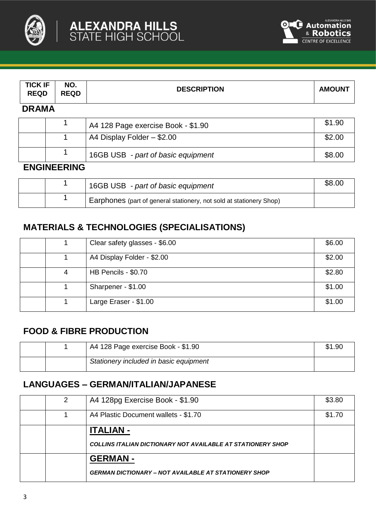



| <b>TICK IF</b><br><b>REQD</b> | NO.<br><b>REQD</b> | <b>DESCRIPTION</b>                 | <b>AMOUNT</b> |  |  |  |
|-------------------------------|--------------------|------------------------------------|---------------|--|--|--|
|                               | <b>DRAMA</b>       |                                    |               |  |  |  |
|                               |                    | A4 128 Page exercise Book - \$1.90 | \$1.90        |  |  |  |
|                               |                    | A4 Display Folder - \$2.00         | \$2.00        |  |  |  |
|                               |                    | 16GB USB - part of basic equipment | \$8.00        |  |  |  |
| <b>ENGINEERING</b>            |                    |                                    |               |  |  |  |

|  | 16GB USB - part of basic equipment                                  | \$8.00 |
|--|---------------------------------------------------------------------|--------|
|  | Earphones (part of general stationery, not sold at stationery Shop) |        |

# **MATERIALS & TECHNOLOGIES (SPECIALISATIONS)**

|   | Clear safety glasses - \$6.00 | \$6.00 |
|---|-------------------------------|--------|
|   | A4 Display Folder - \$2.00    | \$2.00 |
| 4 | HB Pencils - \$0.70           | \$2.80 |
|   | Sharpener - \$1.00            | \$1.00 |
|   | Large Eraser - \$1.00         | \$1.00 |

## **FOOD & FIBRE PRODUCTION**

|  | A4 128 Page exercise Book - \$1.90     | \$1.90 |
|--|----------------------------------------|--------|
|  | Stationery included in basic equipment |        |

# **LANGUAGES – GERMAN/ITALIAN/JAPANESE**

| 2 | A4 128pg Exercise Book - \$1.90                                    | \$3.80 |
|---|--------------------------------------------------------------------|--------|
|   | A4 Plastic Document wallets - \$1.70                               | \$1.70 |
|   | <b>ITALIAN -</b>                                                   |        |
|   | <b>COLLINS ITALIAN DICTIONARY NOT AVAILABLE AT STATIONERY SHOP</b> |        |
|   | <b>GERMAN-</b>                                                     |        |
|   | <b>GERMAN DICTIONARY – NOT AVAILABLE AT STATIONERY SHOP</b>        |        |